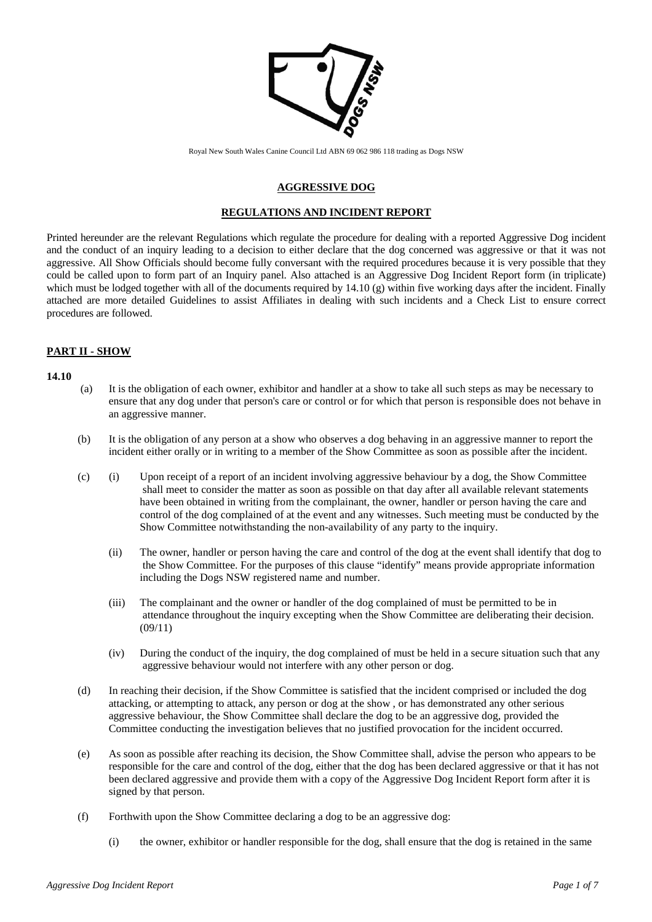

Royal New South Wales Canine Council Ltd ABN 69 062 986 118 trading as Dogs NSW

### **AGGRESSIVE DOG**

#### **REGULATIONS AND INCIDENT REPORT**

Printed hereunder are the relevant Regulations which regulate the procedure for dealing with a reported Aggressive Dog incident and the conduct of an inquiry leading to a decision to either declare that the dog concerned was aggressive or that it was not aggressive. All Show Officials should become fully conversant with the required procedures because it is very possible that they could be called upon to form part of an Inquiry panel. Also attached is an Aggressive Dog Incident Report form (in triplicate) which must be lodged together with all of the documents required by 14.10 (g) within five working days after the incident. Finally attached are more detailed Guidelines to assist Affiliates in dealing with such incidents and a Check List to ensure correct procedures are followed.

### **PART II - SHOW**

#### **14.10**

- (a) It is the obligation of each owner, exhibitor and handler at a show to take all such steps as may be necessary to ensure that any dog under that person's care or control or for which that person is responsible does not behave in an aggressive manner.
- (b) It is the obligation of any person at a show who observes a dog behaving in an aggressive manner to report the incident either orally or in writing to a member of the Show Committee as soon as possible after the incident.
- (c) (i) Upon receipt of a report of an incident involving aggressive behaviour by a dog, the Show Committee shall meet to consider the matter as soon as possible on that day after all available relevant statements have been obtained in writing from the complainant, the owner, handler or person having the care and control of the dog complained of at the event and any witnesses. Such meeting must be conducted by the Show Committee notwithstanding the non-availability of any party to the inquiry.
	- (ii) The owner, handler or person having the care and control of the dog at the event shall identify that dog to the Show Committee. For the purposes of this clause "identify" means provide appropriate information including the Dogs NSW registered name and number.
	- (iii) The complainant and the owner or handler of the dog complained of must be permitted to be in attendance throughout the inquiry excepting when the Show Committee are deliberating their decision. (09/11)
	- (iv) During the conduct of the inquiry, the dog complained of must be held in a secure situation such that any aggressive behaviour would not interfere with any other person or dog.
- (d) In reaching their decision, if the Show Committee is satisfied that the incident comprised or included the dog attacking, or attempting to attack, any person or dog at the show , or has demonstrated any other serious aggressive behaviour, the Show Committee shall declare the dog to be an aggressive dog, provided the Committee conducting the investigation believes that no justified provocation for the incident occurred.
- (e) As soon as possible after reaching its decision, the Show Committee shall, advise the person who appears to be responsible for the care and control of the dog, either that the dog has been declared aggressive or that it has not been declared aggressive and provide them with a copy of the Aggressive Dog Incident Report form after it is signed by that person.
- (f) Forthwith upon the Show Committee declaring a dog to be an aggressive dog:
	- (i) the owner, exhibitor or handler responsible for the dog, shall ensure that the dog is retained in the same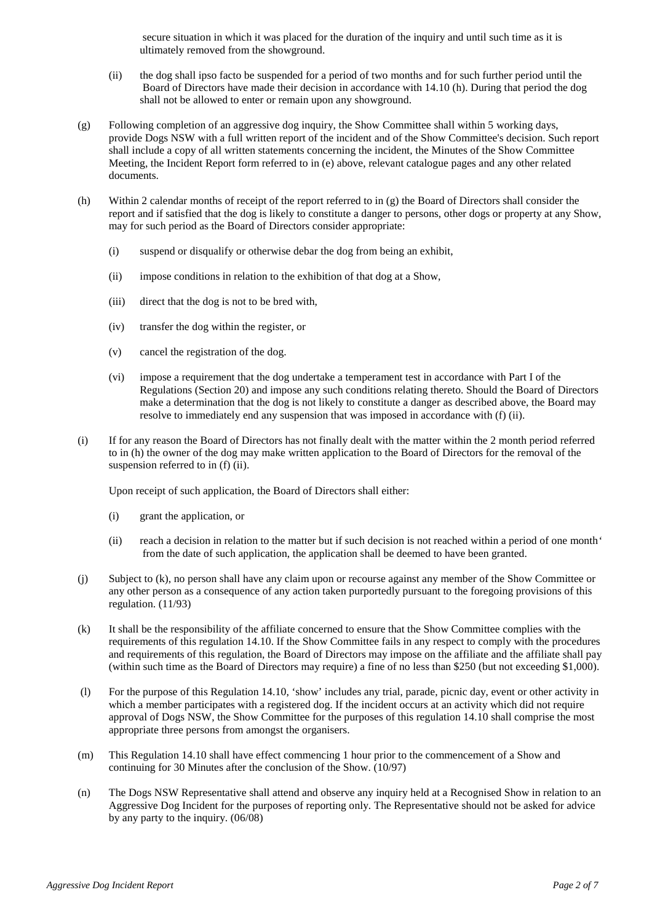secure situation in which it was placed for the duration of the inquiry and until such time as it is ultimately removed from the showground.

- (ii) the dog shall ipso facto be suspended for a period of two months and for such further period until the Board of Directors have made their decision in accordance with 14.10 (h). During that period the dog shall not be allowed to enter or remain upon any showground.
- (g) Following completion of an aggressive dog inquiry, the Show Committee shall within 5 working days, provide Dogs NSW with a full written report of the incident and of the Show Committee's decision. Such report shall include a copy of all written statements concerning the incident, the Minutes of the Show Committee Meeting, the Incident Report form referred to in (e) above, relevant catalogue pages and any other related documents.
- (h) Within 2 calendar months of receipt of the report referred to in (g) the Board of Directors shall consider the report and if satisfied that the dog is likely to constitute a danger to persons, other dogs or property at any Show, may for such period as the Board of Directors consider appropriate:
	- (i) suspend or disqualify or otherwise debar the dog from being an exhibit,
	- (ii) impose conditions in relation to the exhibition of that dog at a Show,
	- (iii) direct that the dog is not to be bred with,
	- (iv) transfer the dog within the register, or
	- (v) cancel the registration of the dog.
	- (vi) impose a requirement that the dog undertake a temperament test in accordance with Part I of the Regulations (Section 20) and impose any such conditions relating thereto. Should the Board of Directors make a determination that the dog is not likely to constitute a danger as described above, the Board may resolve to immediately end any suspension that was imposed in accordance with (f) (ii).
- (i) If for any reason the Board of Directors has not finally dealt with the matter within the 2 month period referred to in (h) the owner of the dog may make written application to the Board of Directors for the removal of the suspension referred to in  $(f)$  (ii).

Upon receipt of such application, the Board of Directors shall either:

- (i) grant the application, or
- (ii) reach a decision in relation to the matter but if such decision is not reached within a period of one month' from the date of such application, the application shall be deemed to have been granted.
- (j) Subject to (k), no person shall have any claim upon or recourse against any member of the Show Committee or any other person as a consequence of any action taken purportedly pursuant to the foregoing provisions of this regulation. (11/93)
- (k) It shall be the responsibility of the affiliate concerned to ensure that the Show Committee complies with the requirements of this regulation 14.10. If the Show Committee fails in any respect to comply with the procedures and requirements of this regulation, the Board of Directors may impose on the affiliate and the affiliate shall pay (within such time as the Board of Directors may require) a fine of no less than \$250 (but not exceeding \$1,000).
- (l) For the purpose of this Regulation 14.10, 'show' includes any trial, parade, picnic day, event or other activity in which a member participates with a registered dog. If the incident occurs at an activity which did not require approval of Dogs NSW, the Show Committee for the purposes of this regulation 14.10 shall comprise the most appropriate three persons from amongst the organisers.
- (m) This Regulation 14.10 shall have effect commencing 1 hour prior to the commencement of a Show and continuing for 30 Minutes after the conclusion of the Show. (10/97)
- (n) The Dogs NSW Representative shall attend and observe any inquiry held at a Recognised Show in relation to an Aggressive Dog Incident for the purposes of reporting only. The Representative should not be asked for advice by any party to the inquiry. (06/08)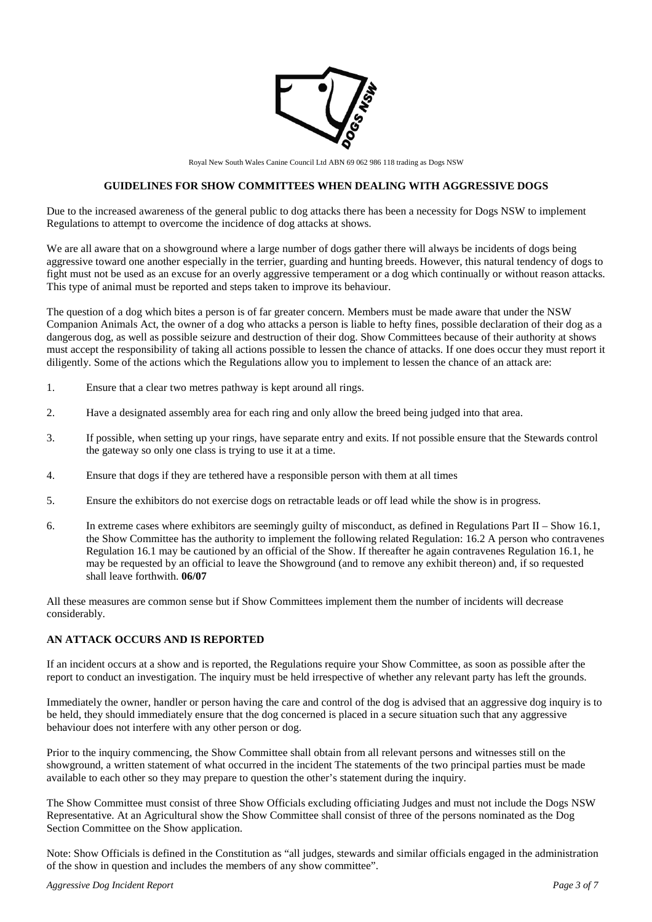

Royal New South Wales Canine Council Ltd ABN 69 062 986 118 trading as Dogs NSW

#### **GUIDELINES FOR SHOW COMMITTEES WHEN DEALING WITH AGGRESSIVE DOGS**

Due to the increased awareness of the general public to dog attacks there has been a necessity for Dogs NSW to implement Regulations to attempt to overcome the incidence of dog attacks at shows.

We are all aware that on a showground where a large number of dogs gather there will always be incidents of dogs being aggressive toward one another especially in the terrier, guarding and hunting breeds. However, this natural tendency of dogs to fight must not be used as an excuse for an overly aggressive temperament or a dog which continually or without reason attacks. This type of animal must be reported and steps taken to improve its behaviour.

The question of a dog which bites a person is of far greater concern. Members must be made aware that under the NSW Companion Animals Act, the owner of a dog who attacks a person is liable to hefty fines, possible declaration of their dog as a dangerous dog, as well as possible seizure and destruction of their dog. Show Committees because of their authority at shows must accept the responsibility of taking all actions possible to lessen the chance of attacks. If one does occur they must report it diligently. Some of the actions which the Regulations allow you to implement to lessen the chance of an attack are:

- 1. Ensure that a clear two metres pathway is kept around all rings.
- 2. Have a designated assembly area for each ring and only allow the breed being judged into that area.
- 3. If possible, when setting up your rings, have separate entry and exits. If not possible ensure that the Stewards control the gateway so only one class is trying to use it at a time.
- 4. Ensure that dogs if they are tethered have a responsible person with them at all times
- 5. Ensure the exhibitors do not exercise dogs on retractable leads or off lead while the show is in progress.
- 6. In extreme cases where exhibitors are seemingly guilty of misconduct, as defined in Regulations Part II Show 16.1, the Show Committee has the authority to implement the following related Regulation: 16.2 A person who contravenes Regulation 16.1 may be cautioned by an official of the Show. If thereafter he again contravenes Regulation 16.1, he may be requested by an official to leave the Showground (and to remove any exhibit thereon) and, if so requested shall leave forthwith. **06/07**

All these measures are common sense but if Show Committees implement them the number of incidents will decrease considerably.

#### **AN ATTACK OCCURS AND IS REPORTED**

If an incident occurs at a show and is reported, the Regulations require your Show Committee, as soon as possible after the report to conduct an investigation. The inquiry must be held irrespective of whether any relevant party has left the grounds.

Immediately the owner, handler or person having the care and control of the dog is advised that an aggressive dog inquiry is to be held, they should immediately ensure that the dog concerned is placed in a secure situation such that any aggressive behaviour does not interfere with any other person or dog.

Prior to the inquiry commencing, the Show Committee shall obtain from all relevant persons and witnesses still on the showground, a written statement of what occurred in the incident The statements of the two principal parties must be made available to each other so they may prepare to question the other's statement during the inquiry.

The Show Committee must consist of three Show Officials excluding officiating Judges and must not include the Dogs NSW Representative. At an Agricultural show the Show Committee shall consist of three of the persons nominated as the Dog Section Committee on the Show application.

Note: Show Officials is defined in the Constitution as "all judges, stewards and similar officials engaged in the administration of the show in question and includes the members of any show committee".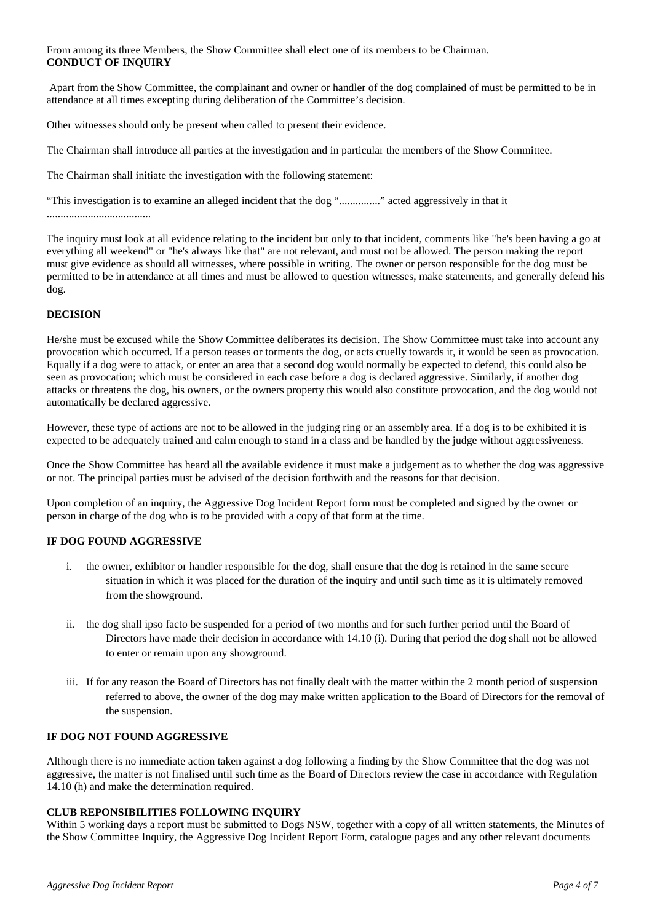From among its three Members, the Show Committee shall elect one of its members to be Chairman. **CONDUCT OF INQUIRY**

Apart from the Show Committee, the complainant and owner or handler of the dog complained of must be permitted to be in attendance at all times excepting during deliberation of the Committee's decision.

Other witnesses should only be present when called to present their evidence.

The Chairman shall introduce all parties at the investigation and in particular the members of the Show Committee.

The Chairman shall initiate the investigation with the following statement:

"This investigation is to examine an alleged incident that the dog "..............." acted aggressively in that it ......................................

The inquiry must look at all evidence relating to the incident but only to that incident, comments like "he's been having a go at everything all weekend" or "he's always like that" are not relevant, and must not be allowed. The person making the report must give evidence as should all witnesses, where possible in writing. The owner or person responsible for the dog must be permitted to be in attendance at all times and must be allowed to question witnesses, make statements, and generally defend his dog.

### **DECISION**

He/she must be excused while the Show Committee deliberates its decision. The Show Committee must take into account any provocation which occurred. If a person teases or torments the dog, or acts cruelly towards it, it would be seen as provocation. Equally if a dog were to attack, or enter an area that a second dog would normally be expected to defend, this could also be seen as provocation; which must be considered in each case before a dog is declared aggressive. Similarly, if another dog attacks or threatens the dog, his owners, or the owners property this would also constitute provocation, and the dog would not automatically be declared aggressive.

However, these type of actions are not to be allowed in the judging ring or an assembly area. If a dog is to be exhibited it is expected to be adequately trained and calm enough to stand in a class and be handled by the judge without aggressiveness.

Once the Show Committee has heard all the available evidence it must make a judgement as to whether the dog was aggressive or not. The principal parties must be advised of the decision forthwith and the reasons for that decision.

Upon completion of an inquiry, the Aggressive Dog Incident Report form must be completed and signed by the owner or person in charge of the dog who is to be provided with a copy of that form at the time.

#### **IF DOG FOUND AGGRESSIVE**

- i. the owner, exhibitor or handler responsible for the dog, shall ensure that the dog is retained in the same secure situation in which it was placed for the duration of the inquiry and until such time as it is ultimately removed from the showground.
- ii. the dog shall ipso facto be suspended for a period of two months and for such further period until the Board of Directors have made their decision in accordance with 14.10 (i). During that period the dog shall not be allowed to enter or remain upon any showground.
- iii. If for any reason the Board of Directors has not finally dealt with the matter within the 2 month period of suspension referred to above, the owner of the dog may make written application to the Board of Directors for the removal of the suspension.

## **IF DOG NOT FOUND AGGRESSIVE**

Although there is no immediate action taken against a dog following a finding by the Show Committee that the dog was not aggressive, the matter is not finalised until such time as the Board of Directors review the case in accordance with Regulation 14.10 (h) and make the determination required.

### **CLUB REPONSIBILITIES FOLLOWING INQUIRY**

Within 5 working days a report must be submitted to Dogs NSW, together with a copy of all written statements, the Minutes of the Show Committee Inquiry, the Aggressive Dog Incident Report Form, catalogue pages and any other relevant documents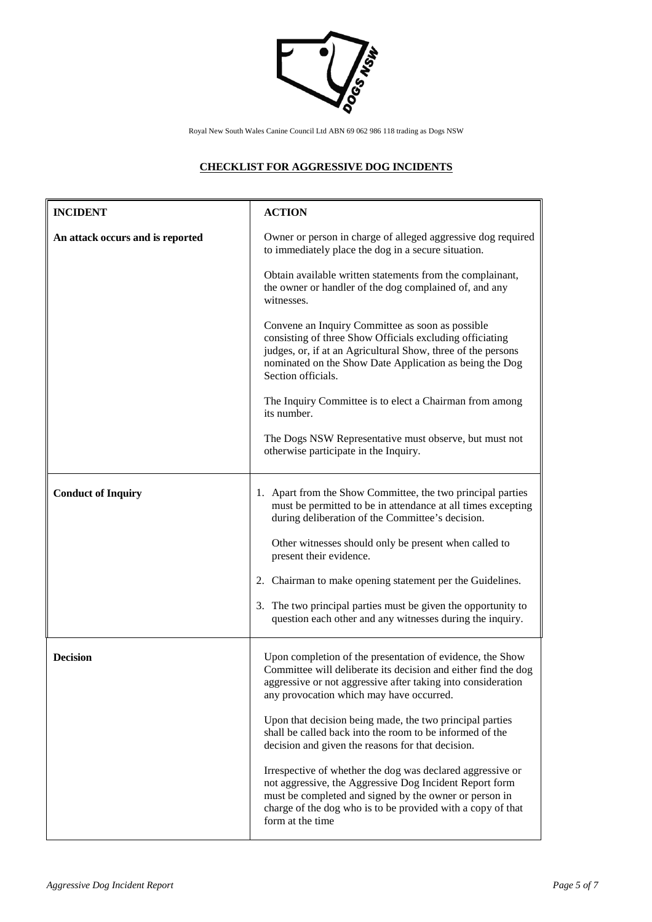

# **CHECKLIST FOR AGGRESSIVE DOG INCIDENTS**

| <b>INCIDENT</b>                  | <b>ACTION</b>                                                                                                                                                                                                                                                      |
|----------------------------------|--------------------------------------------------------------------------------------------------------------------------------------------------------------------------------------------------------------------------------------------------------------------|
| An attack occurs and is reported | Owner or person in charge of alleged aggressive dog required<br>to immediately place the dog in a secure situation.                                                                                                                                                |
|                                  | Obtain available written statements from the complainant,<br>the owner or handler of the dog complained of, and any<br>witnesses.                                                                                                                                  |
|                                  | Convene an Inquiry Committee as soon as possible<br>consisting of three Show Officials excluding officiating<br>judges, or, if at an Agricultural Show, three of the persons<br>nominated on the Show Date Application as being the Dog<br>Section officials.      |
|                                  | The Inquiry Committee is to elect a Chairman from among<br>its number.                                                                                                                                                                                             |
|                                  | The Dogs NSW Representative must observe, but must not<br>otherwise participate in the Inquiry.                                                                                                                                                                    |
| <b>Conduct of Inquiry</b>        | 1. Apart from the Show Committee, the two principal parties<br>must be permitted to be in attendance at all times excepting<br>during deliberation of the Committee's decision.                                                                                    |
|                                  | Other witnesses should only be present when called to<br>present their evidence.                                                                                                                                                                                   |
|                                  | 2. Chairman to make opening statement per the Guidelines.                                                                                                                                                                                                          |
|                                  | 3. The two principal parties must be given the opportunity to<br>question each other and any witnesses during the inquiry.                                                                                                                                         |
| <b>Decision</b>                  | Upon completion of the presentation of evidence, the Show<br>Committee will deliberate its decision and either find the dog<br>aggressive or not aggressive after taking into consideration<br>any provocation which may have occurred.                            |
|                                  | Upon that decision being made, the two principal parties<br>shall be called back into the room to be informed of the<br>decision and given the reasons for that decision.                                                                                          |
|                                  | Irrespective of whether the dog was declared aggressive or<br>not aggressive, the Aggressive Dog Incident Report form<br>must be completed and signed by the owner or person in<br>charge of the dog who is to be provided with a copy of that<br>form at the time |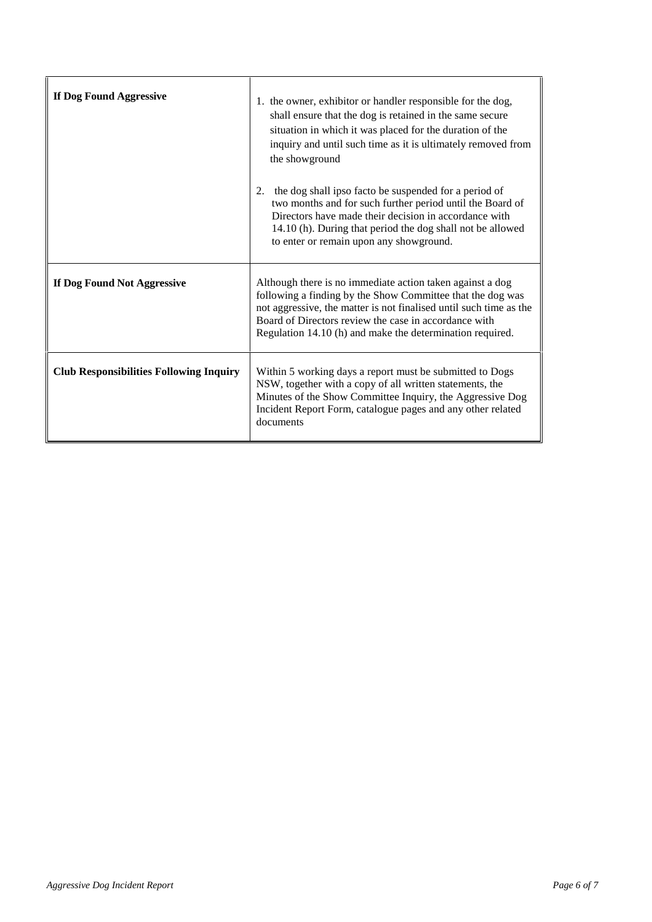| If Dog Found Aggressive                        | 1. the owner, exhibitor or handler responsible for the dog,<br>shall ensure that the dog is retained in the same secure<br>situation in which it was placed for the duration of the<br>inquiry and until such time as it is ultimately removed from<br>the showground<br>the dog shall ipso facto be suspended for a period of<br>2.<br>two months and for such further period until the Board of<br>Directors have made their decision in accordance with<br>14.10 (h). During that period the dog shall not be allowed<br>to enter or remain upon any showground. |
|------------------------------------------------|---------------------------------------------------------------------------------------------------------------------------------------------------------------------------------------------------------------------------------------------------------------------------------------------------------------------------------------------------------------------------------------------------------------------------------------------------------------------------------------------------------------------------------------------------------------------|
| If Dog Found Not Aggressive                    | Although there is no immediate action taken against a dog<br>following a finding by the Show Committee that the dog was<br>not aggressive, the matter is not finalised until such time as the<br>Board of Directors review the case in accordance with<br>Regulation 14.10 (h) and make the determination required.                                                                                                                                                                                                                                                 |
| <b>Club Responsibilities Following Inquiry</b> | Within 5 working days a report must be submitted to Dogs<br>NSW, together with a copy of all written statements, the<br>Minutes of the Show Committee Inquiry, the Aggressive Dog<br>Incident Report Form, catalogue pages and any other related<br>documents                                                                                                                                                                                                                                                                                                       |